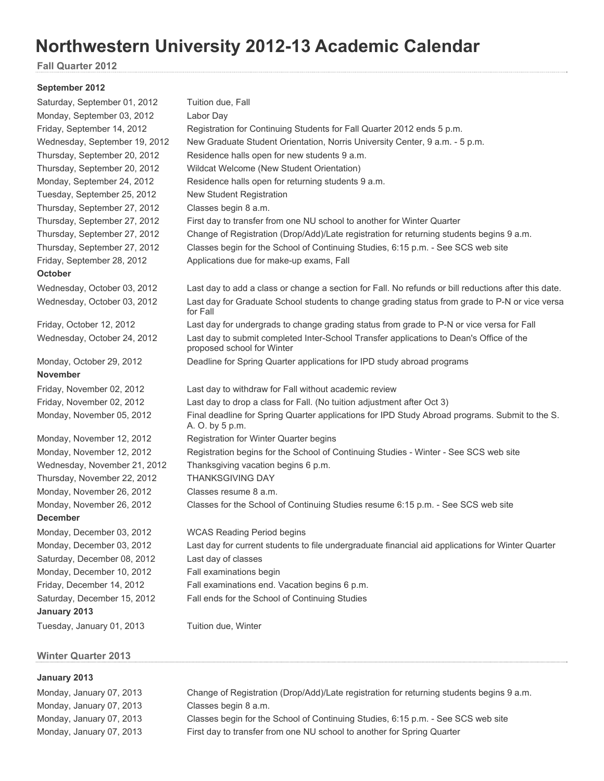# **Northwestern University 2012-13 Academic Calendar**

**Fall Quarter 2012** 

#### **September 2012**

| Saturday, September 01, 2012  | Tuition due, Fall                                                                                                     |  |
|-------------------------------|-----------------------------------------------------------------------------------------------------------------------|--|
| Monday, September 03, 2012    | Labor Day                                                                                                             |  |
| Friday, September 14, 2012    | Registration for Continuing Students for Fall Quarter 2012 ends 5 p.m.                                                |  |
| Wednesday, September 19, 2012 | New Graduate Student Orientation, Norris University Center, 9 a.m. - 5 p.m.                                           |  |
| Thursday, September 20, 2012  | Residence halls open for new students 9 a.m.                                                                          |  |
| Thursday, September 20, 2012  | Wildcat Welcome (New Student Orientation)                                                                             |  |
| Monday, September 24, 2012    | Residence halls open for returning students 9 a.m.                                                                    |  |
| Tuesday, September 25, 2012   | <b>New Student Registration</b>                                                                                       |  |
| Thursday, September 27, 2012  | Classes begin 8 a.m.                                                                                                  |  |
| Thursday, September 27, 2012  | First day to transfer from one NU school to another for Winter Quarter                                                |  |
| Thursday, September 27, 2012  | Change of Registration (Drop/Add)/Late registration for returning students begins 9 a.m.                              |  |
| Thursday, September 27, 2012  | Classes begin for the School of Continuing Studies, 6:15 p.m. - See SCS web site                                      |  |
| Friday, September 28, 2012    | Applications due for make-up exams, Fall                                                                              |  |
| <b>October</b>                |                                                                                                                       |  |
| Wednesday, October 03, 2012   | Last day to add a class or change a section for Fall. No refunds or bill reductions after this date.                  |  |
| Wednesday, October 03, 2012   | Last day for Graduate School students to change grading status from grade to P-N or vice versa<br>for Fall            |  |
| Friday, October 12, 2012      | Last day for undergrads to change grading status from grade to P-N or vice versa for Fall                             |  |
| Wednesday, October 24, 2012   | Last day to submit completed Inter-School Transfer applications to Dean's Office of the<br>proposed school for Winter |  |
| Monday, October 29, 2012      | Deadline for Spring Quarter applications for IPD study abroad programs                                                |  |
| <b>November</b>               |                                                                                                                       |  |
| Friday, November 02, 2012     | Last day to withdraw for Fall without academic review                                                                 |  |
| Friday, November 02, 2012     | Last day to drop a class for Fall. (No tuition adjustment after Oct 3)                                                |  |
| Monday, November 05, 2012     | Final deadline for Spring Quarter applications for IPD Study Abroad programs. Submit to the S.<br>A. O. by 5 p.m.     |  |
| Monday, November 12, 2012     | Registration for Winter Quarter begins                                                                                |  |
| Monday, November 12, 2012     | Registration begins for the School of Continuing Studies - Winter - See SCS web site                                  |  |
| Wednesday, November 21, 2012  | Thanksgiving vacation begins 6 p.m.                                                                                   |  |
| Thursday, November 22, 2012   | <b>THANKSGIVING DAY</b>                                                                                               |  |
| Monday, November 26, 2012     | Classes resume 8 a.m.                                                                                                 |  |
| Monday, November 26, 2012     | Classes for the School of Continuing Studies resume 6:15 p.m. - See SCS web site                                      |  |
| <b>December</b>               |                                                                                                                       |  |
| Monday, December 03, 2012     | <b>WCAS Reading Period begins</b>                                                                                     |  |
| Monday, December 03, 2012     | Last day for current students to file undergraduate financial aid applications for Winter Quarter                     |  |
| Saturday, December 08, 2012   | Last day of classes                                                                                                   |  |
| Monday, December 10, 2012     | Fall examinations begin                                                                                               |  |
| Friday, December 14, 2012     | Fall examinations end. Vacation begins 6 p.m.                                                                         |  |
| Saturday, December 15, 2012   | Fall ends for the School of Continuing Studies                                                                        |  |
| January 2013                  |                                                                                                                       |  |
| Tuesday, January 01, 2013     | Tuition due, Winter                                                                                                   |  |

## **Winter Quarter 2013**

## **January 2013**

Monday, January 07, 2013 Classes begin 8 a.m.

Monday, January 07, 2013 Change of Registration (Drop/Add)/Late registration for returning students begins 9 a.m. Monday, January 07, 2013 Classes begin for the School of Continuing Studies, 6:15 p.m. - See SCS web site Monday, January 07, 2013 First day to transfer from one NU school to another for Spring Quarter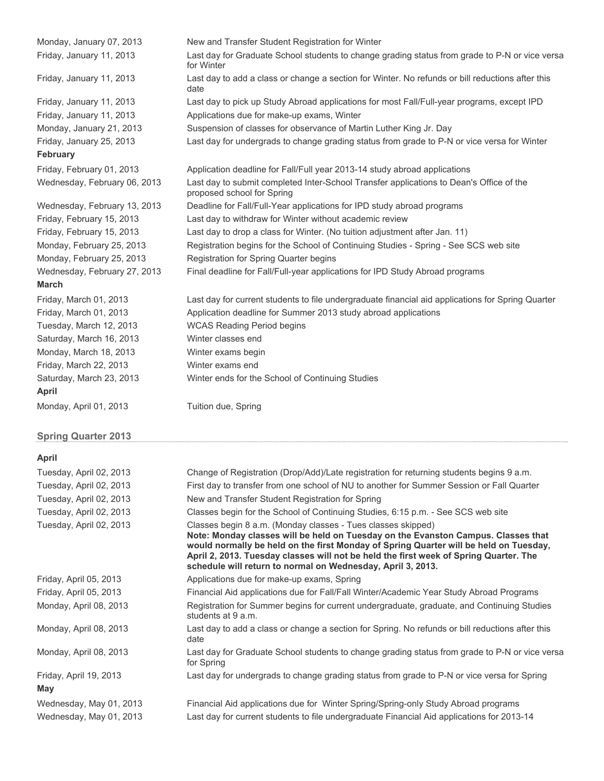| Monday, January 07, 2013                 | New and Transfer Student Registration for Winter                                                                      |
|------------------------------------------|-----------------------------------------------------------------------------------------------------------------------|
| Friday, January 11, 2013                 | Last day for Graduate School students to change grading status from grade to P-N or vice versa<br>for Winter          |
| Friday, January 11, 2013                 | Last day to add a class or change a section for Winter. No refunds or bill reductions after this<br>date              |
| Friday, January 11, 2013                 | Last day to pick up Study Abroad applications for most Fall/Full-year programs, except IPD                            |
| Friday, January 11, 2013                 | Applications due for make-up exams, Winter                                                                            |
| Monday, January 21, 2013                 | Suspension of classes for observance of Martin Luther King Jr. Day                                                    |
| Friday, January 25, 2013                 | Last day for undergrads to change grading status from grade to P-N or vice versa for Winter                           |
| <b>February</b>                          |                                                                                                                       |
| Friday, February 01, 2013                | Application deadline for Fall/Full year 2013-14 study abroad applications                                             |
| Wednesday, February 06, 2013             | Last day to submit completed Inter-School Transfer applications to Dean's Office of the<br>proposed school for Spring |
| Wednesday, February 13, 2013             | Deadline for Fall/Full-Year applications for IPD study abroad programs                                                |
| Friday, February 15, 2013                | Last day to withdraw for Winter without academic review                                                               |
| Friday, February 15, 2013                | Last day to drop a class for Winter. (No tuition adjustment after Jan. 11)                                            |
| Monday, February 25, 2013                | Registration begins for the School of Continuing Studies - Spring - See SCS web site                                  |
| Monday, February 25, 2013                | Registration for Spring Quarter begins                                                                                |
| Wednesday, February 27, 2013             | Final deadline for Fall/Full-year applications for IPD Study Abroad programs                                          |
| <b>March</b>                             |                                                                                                                       |
| Friday, March 01, 2013                   | Last day for current students to file undergraduate financial aid applications for Spring Quarter                     |
| Friday, March 01, 2013                   | Application deadline for Summer 2013 study abroad applications                                                        |
| Tuesday, March 12, 2013                  | <b>WCAS Reading Period begins</b>                                                                                     |
| Saturday, March 16, 2013                 | Winter classes end                                                                                                    |
| Monday, March 18, 2013                   | Winter exams begin                                                                                                    |
| Friday, March 22, 2013                   | Winter exams end                                                                                                      |
| Saturday, March 23, 2013<br><b>April</b> | Winter ends for the School of Continuing Studies                                                                      |
| Monday, April 01, 2013                   | Tuition due, Spring                                                                                                   |
|                                          |                                                                                                                       |

# **Spring Quarter 2013**

## **April**

| APIII                   |                                                                                                                                                                                                                                                                                                                                                                                                    |
|-------------------------|----------------------------------------------------------------------------------------------------------------------------------------------------------------------------------------------------------------------------------------------------------------------------------------------------------------------------------------------------------------------------------------------------|
| Tuesday, April 02, 2013 | Change of Registration (Drop/Add)/Late registration for returning students begins 9 a.m.                                                                                                                                                                                                                                                                                                           |
| Tuesday, April 02, 2013 | First day to transfer from one school of NU to another for Summer Session or Fall Quarter                                                                                                                                                                                                                                                                                                          |
| Tuesday, April 02, 2013 | New and Transfer Student Registration for Spring                                                                                                                                                                                                                                                                                                                                                   |
| Tuesday, April 02, 2013 | Classes begin for the School of Continuing Studies, 6:15 p.m. - See SCS web site                                                                                                                                                                                                                                                                                                                   |
| Tuesday, April 02, 2013 | Classes begin 8 a.m. (Monday classes - Tues classes skipped)<br>Note: Monday classes will be held on Tuesday on the Evanston Campus. Classes that<br>would normally be held on the first Monday of Spring Quarter will be held on Tuesday,<br>April 2, 2013. Tuesday classes will not be held the first week of Spring Quarter. The<br>schedule will return to normal on Wednesday, April 3, 2013. |
| Friday, April 05, 2013  | Applications due for make-up exams, Spring                                                                                                                                                                                                                                                                                                                                                         |
| Friday, April 05, 2013  | Financial Aid applications due for Fall/Fall Winter/Academic Year Study Abroad Programs                                                                                                                                                                                                                                                                                                            |
| Monday, April 08, 2013  | Registration for Summer begins for current undergraduate, graduate, and Continuing Studies<br>students at 9 a.m.                                                                                                                                                                                                                                                                                   |
| Monday, April 08, 2013  | Last day to add a class or change a section for Spring. No refunds or bill reductions after this<br>date                                                                                                                                                                                                                                                                                           |
| Monday, April 08, 2013  | Last day for Graduate School students to change grading status from grade to P-N or vice versa<br>for Spring                                                                                                                                                                                                                                                                                       |
| Friday, April 19, 2013  | Last day for undergrads to change grading status from grade to P-N or vice versa for Spring                                                                                                                                                                                                                                                                                                        |
| May                     |                                                                                                                                                                                                                                                                                                                                                                                                    |
| Wednesday, May 01, 2013 | Financial Aid applications due for Winter Spring/Spring-only Study Abroad programs                                                                                                                                                                                                                                                                                                                 |
| Wednesday, May 01, 2013 | Last day for current students to file undergraduate Financial Aid applications for 2013-14                                                                                                                                                                                                                                                                                                         |
|                         |                                                                                                                                                                                                                                                                                                                                                                                                    |